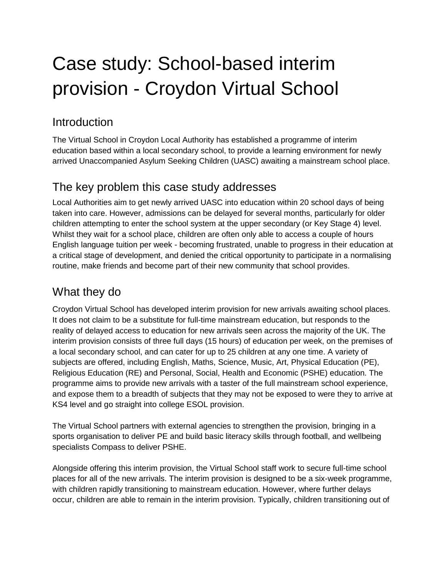# Case study: School-based interim provision - Croydon Virtual School

### Introduction

The Virtual School in Croydon Local Authority has established a programme of interim education based within a local secondary school, to provide a learning environment for newly arrived Unaccompanied Asylum Seeking Children (UASC) awaiting a mainstream school place.

#### The key problem this case study addresses

Local Authorities aim to get newly arrived UASC into education within 20 school days of being taken into care. However, admissions can be delayed for several months, particularly for older children attempting to enter the school system at the upper secondary (or Key Stage 4) level. Whilst they wait for a school place, children are often only able to access a couple of hours English language tuition per week - becoming frustrated, unable to progress in their education at a critical stage of development, and denied the critical opportunity to participate in a normalising routine, make friends and become part of their new community that school provides.

# What they do

Croydon Virtual School has developed interim provision for new arrivals awaiting school places. It does not claim to be a substitute for full-time mainstream education, but responds to the reality of delayed access to education for new arrivals seen across the majority of the UK. The interim provision consists of three full days (15 hours) of education per week, on the premises of a local secondary school, and can cater for up to 25 children at any one time. A variety of subjects are offered, including English, Maths, Science, Music, Art, Physical Education (PE), Religious Education (RE) and Personal, Social, Health and Economic (PSHE) education. The programme aims to provide new arrivals with a taster of the full mainstream school experience, and expose them to a breadth of subjects that they may not be exposed to were they to arrive at KS4 level and go straight into college ESOL provision.

The Virtual School partners with external agencies to strengthen the provision, bringing in a sports organisation to deliver PE and build basic literacy skills through football, and wellbeing specialists Compass to deliver PSHE.

Alongside offering this interim provision, the Virtual School staff work to secure full-time school places for all of the new arrivals. The interim provision is designed to be a six-week programme, with children rapidly transitioning to mainstream education. However, where further delays occur, children are able to remain in the interim provision. Typically, children transitioning out of